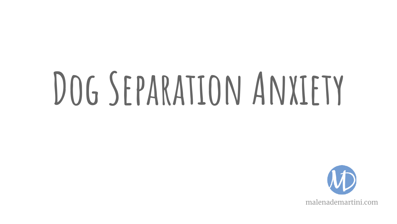# **Dog Separation Anxiety**

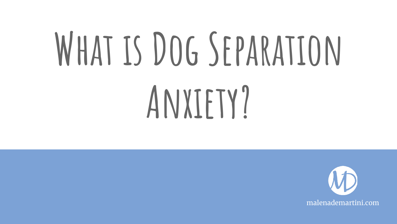# WHAT IS DOG SEPARATION **Anxiety?**

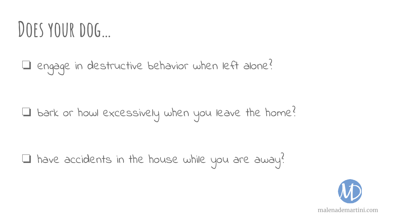#### DOES YOUR DOG...

❏ engage in destructive behavior when left alone?

❏ bark or howl excessively when you leave the home?

 $\Box$  have accidents in the house while you are away?

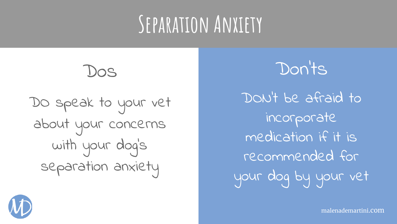DON't be afraid to incorporate medication if it is recommended for your dog by your vet

Don'ts

Dos

DO speak to your vet about your concerns with your dog's separation anxiety



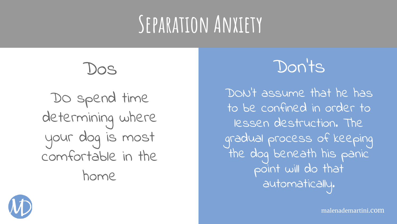

DO spend time determining where your dog is most comfortable in the home



DON't assume that he has to be confined in order to lessen destruction. The gradual process of keeping the dog beneath his panic point will do that automatically.



malenademartini.com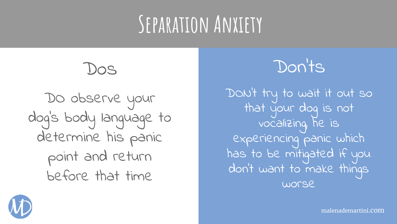

DO observe your dog's body language to determine his panic point and return before that time



DON't try to wait it out so that your dog is not vocalizing, he is experiencing panic which has to be mitigated if you don't want to make things worse



malenademartini.com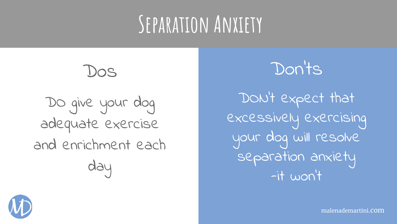DO give your dog adequate exercise and enrichment each day

Dos



DON't expect that excessively exercising your dog will resolve separation anxiety -it won't



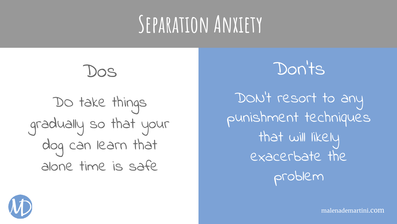

DO take things gradually so that your dog can learn that alone time is safe

Don'ts

DON't resort to any punishment techniques that will likely exacerbate the problem



malenademartini.com